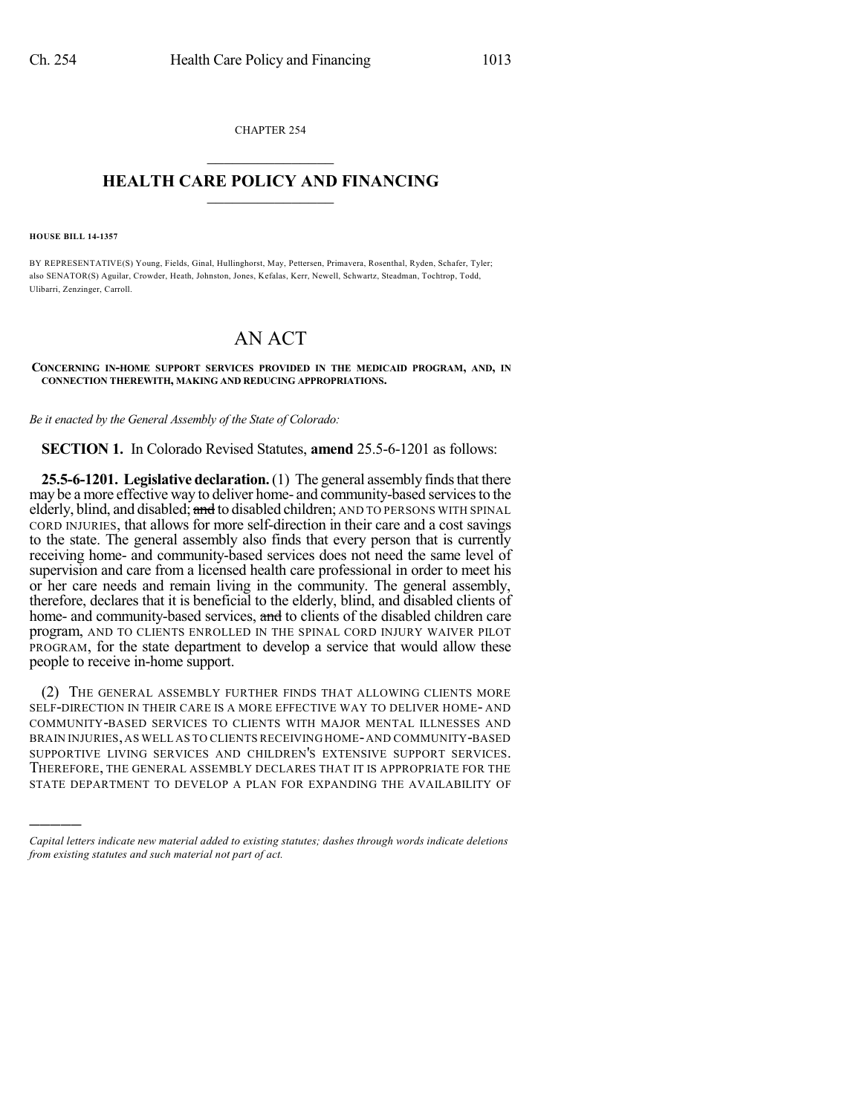CHAPTER 254  $\mathcal{L}_\text{max}$  . The set of the set of the set of the set of the set of the set of the set of the set of the set of the set of the set of the set of the set of the set of the set of the set of the set of the set of the set

## **HEALTH CARE POLICY AND FINANCING**  $\_$   $\_$   $\_$   $\_$   $\_$   $\_$   $\_$   $\_$

**HOUSE BILL 14-1357**

)))))

BY REPRESENTATIVE(S) Young, Fields, Ginal, Hullinghorst, May, Pettersen, Primavera, Rosenthal, Ryden, Schafer, Tyler; also SENATOR(S) Aguilar, Crowder, Heath, Johnston, Jones, Kefalas, Kerr, Newell, Schwartz, Steadman, Tochtrop, Todd, Ulibarri, Zenzinger, Carroll.

## AN ACT

## **CONCERNING IN-HOME SUPPORT SERVICES PROVIDED IN THE MEDICAID PROGRAM, AND, IN CONNECTION THEREWITH, MAKING AND REDUCING APPROPRIATIONS.**

*Be it enacted by the General Assembly of the State of Colorado:*

**SECTION 1.** In Colorado Revised Statutes, **amend** 25.5-6-1201 as follows:

**25.5-6-1201. Legislative declaration.** (1) The general assembly finds that there may be a more effective way to deliver home- and community-based services to the elderly, blind, and disabled; and to disabled children; AND TO PERSONS WITH SPINAL CORD INJURIES, that allows for more self-direction in their care and a cost savings to the state. The general assembly also finds that every person that is currently receiving home- and community-based services does not need the same level of supervision and care from a licensed health care professional in order to meet his or her care needs and remain living in the community. The general assembly, therefore, declares that it is beneficial to the elderly, blind, and disabled clients of home- and community-based services, and to clients of the disabled children care program, AND TO CLIENTS ENROLLED IN THE SPINAL CORD INJURY WAIVER PILOT PROGRAM, for the state department to develop a service that would allow these people to receive in-home support.

(2) THE GENERAL ASSEMBLY FURTHER FINDS THAT ALLOWING CLIENTS MORE SELF-DIRECTION IN THEIR CARE IS A MORE EFFECTIVE WAY TO DELIVER HOME- AND COMMUNITY-BASED SERVICES TO CLIENTS WITH MAJOR MENTAL ILLNESSES AND BRAIN INJURIES, AS WELL AS TO CLIENTS RECEIVING HOME-AND COMMUNITY-BASED SUPPORTIVE LIVING SERVICES AND CHILDREN'S EXTENSIVE SUPPORT SERVICES. THEREFORE, THE GENERAL ASSEMBLY DECLARES THAT IT IS APPROPRIATE FOR THE STATE DEPARTMENT TO DEVELOP A PLAN FOR EXPANDING THE AVAILABILITY OF

*Capital letters indicate new material added to existing statutes; dashes through words indicate deletions from existing statutes and such material not part of act.*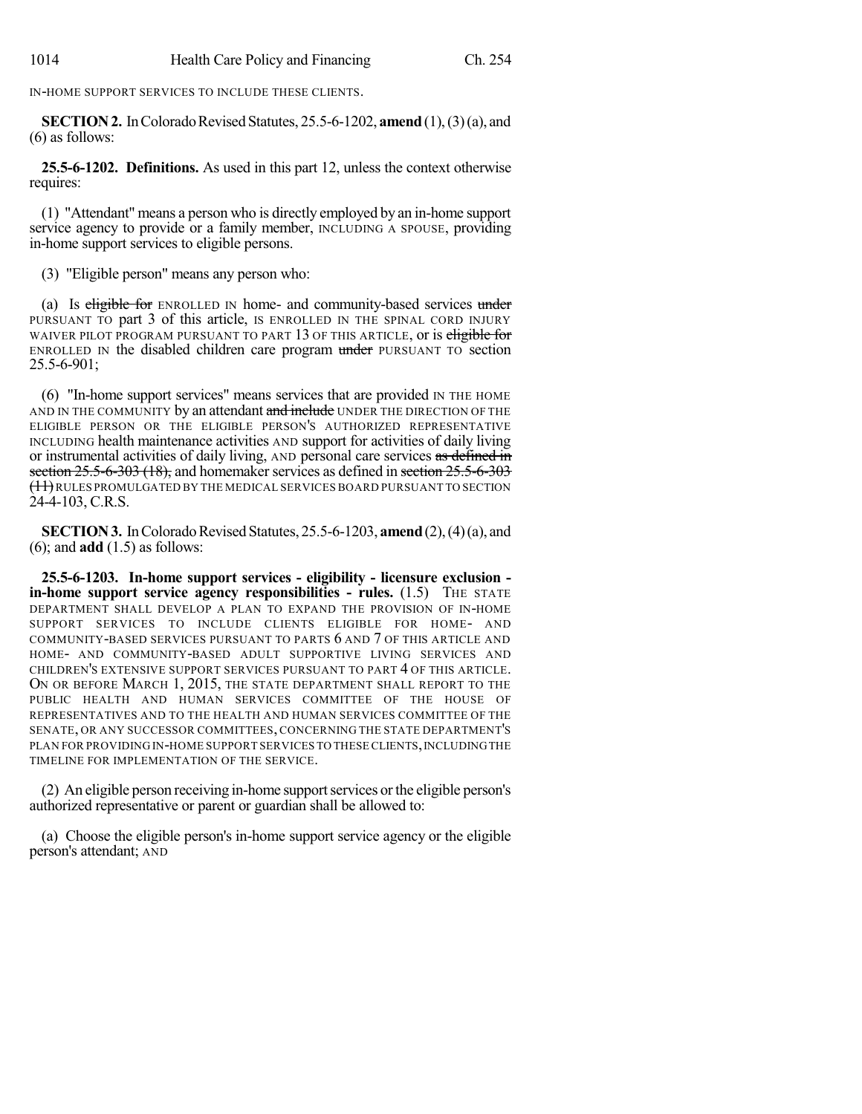IN-HOME SUPPORT SERVICES TO INCLUDE THESE CLIENTS.

**SECTION 2.** In Colorado Revised Statutes, 25.5-6-1202, **amend** (1), (3) (a), and (6) as follows:

**25.5-6-1202. Definitions.** As used in this part 12, unless the context otherwise requires:

(1) "Attendant" means a person who is directly employed by an in-home support service agency to provide or a family member, INCLUDING A SPOUSE, providing in-home support services to eligible persons.

(3) "Eligible person" means any person who:

(a) Is eligible for ENROLLED IN home- and community-based services under PURSUANT TO part 3 of this article, IS ENROLLED IN THE SPINAL CORD INJURY WAIVER PILOT PROGRAM PURSUANT TO PART 13 OF THIS ARTICLE, or is eligible for ENROLLED IN the disabled children care program under PURSUANT TO section 25.5-6-901;

(6) "In-home support services" means services that are provided IN THE HOME AND IN THE COMMUNITY by an attendant and include UNDER THE DIRECTION OF THE ELIGIBLE PERSON OR THE ELIGIBLE PERSON'S AUTHORIZED REPRESENTATIVE INCLUDING health maintenance activities AND support for activities of daily living or instrumental activities of daily living, AND personal care services as defined in section 25.5-6-303 (18), and homemaker services as defined in section 25.5-6-303 (11)RULES PROMULGATED BY THE MEDICAL SERVICES BOARD PURSUANT TO SECTION 24-4-103, C.R.S.

**SECTION 3.** In Colorado Revised Statutes, 25.5-6-1203, **amend** (2), (4) (a), and (6); and **add** (1.5) as follows:

**25.5-6-1203. In-home support services - eligibility - licensure exclusion in-home support service agency responsibilities - rules.** (1.5) THE STATE DEPARTMENT SHALL DEVELOP A PLAN TO EXPAND THE PROVISION OF IN-HOME SUPPORT SERVICES TO INCLUDE CLIENTS ELIGIBLE FOR HOME- AND COMMUNITY-BASED SERVICES PURSUANT TO PARTS 6 AND 7 OF THIS ARTICLE AND HOME- AND COMMUNITY-BASED ADULT SUPPORTIVE LIVING SERVICES AND CHILDREN'S EXTENSIVE SUPPORT SERVICES PURSUANT TO PART 4 OF THIS ARTICLE. ON OR BEFORE MARCH 1, 2015, THE STATE DEPARTMENT SHALL REPORT TO THE PUBLIC HEALTH AND HUMAN SERVICES COMMITTEE OF THE HOUSE OF REPRESENTATIVES AND TO THE HEALTH AND HUMAN SERVICES COMMITTEE OF THE SENATE, OR ANY SUCCESSOR COMMITTEES, CONCERNING THE STATE DEPARTMENT'S PLAN FOR PROVIDING IN-HOME SUPPORT SERVICES TO THESE CLIENTS,INCLUDINGTHE TIMELINE FOR IMPLEMENTATION OF THE SERVICE.

(2) An eligible person receiving in-home supportservices orthe eligible person's authorized representative or parent or guardian shall be allowed to:

(a) Choose the eligible person's in-home support service agency or the eligible person's attendant; AND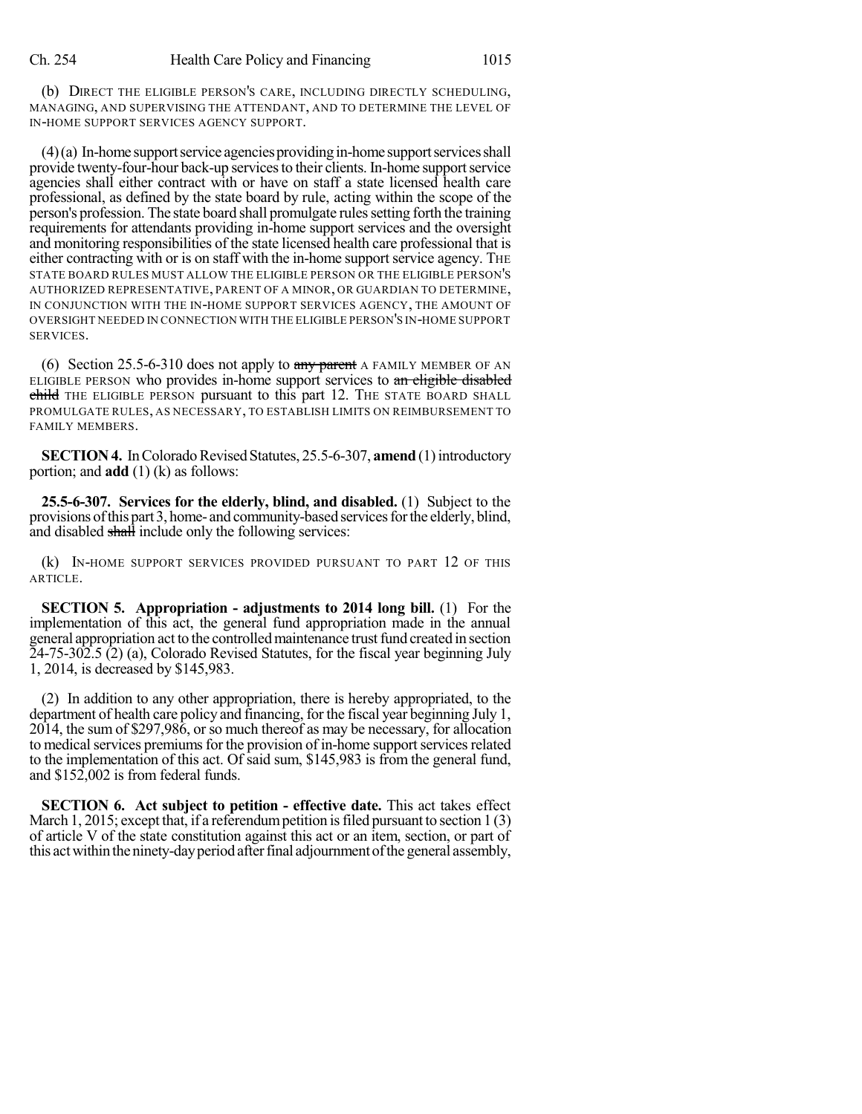(b) DIRECT THE ELIGIBLE PERSON'S CARE, INCLUDING DIRECTLY SCHEDULING, MANAGING, AND SUPERVISING THE ATTENDANT, AND TO DETERMINE THE LEVEL OF IN-HOME SUPPORT SERVICES AGENCY SUPPORT.

 $(4)(a)$  In-home support service agencies providing in-home support services shall provide twenty-four-hour back-up services to their clients. In-home support service agencies shall either contract with or have on staff a state licensed health care professional, as defined by the state board by rule, acting within the scope of the person's profession. The state board shall promulgate rulessetting forth the training requirements for attendants providing in-home support services and the oversight and monitoring responsibilities of the state licensed health care professional that is either contracting with or is on staff with the in-home support service agency. The STATE BOARD RULES MUST ALLOW THE ELIGIBLE PERSON OR THE ELIGIBLE PERSON'S AUTHORIZED REPRESENTATIVE, PARENT OF A MINOR, OR GUARDIAN TO DETERMINE, IN CONJUNCTION WITH THE IN-HOME SUPPORT SERVICES AGENCY, THE AMOUNT OF OVERSIGHT NEEDED IN CONNECTION WITH THE ELIGIBLE PERSON'S IN-HOME SUPPORT SERVICES.

(6) Section 25.5-6-310 does not apply to  $\frac{any}{bound}$  A FAMILY MEMBER OF AN ELIGIBLE PERSON who provides in-home support services to an eligible disabled child THE ELIGIBLE PERSON pursuant to this part 12. THE STATE BOARD SHALL PROMULGATE RULES, AS NECESSARY, TO ESTABLISH LIMITS ON REIMBURSEMENT TO FAMILY MEMBERS.

**SECTION 4.** In Colorado Revised Statutes, 25.5-6-307, **amend** (1) introductory portion; and **add** (1) (k) as follows:

**25.5-6-307. Services for the elderly, blind, and disabled.** (1) Subject to the provisions of this part 3, home- and community-based services for the elderly, blind, and disabled shall include only the following services:

(k) IN-HOME SUPPORT SERVICES PROVIDED PURSUANT TO PART 12 OF THIS ARTICLE.

**SECTION 5. Appropriation - adjustments to 2014 long bill.** (1) For the implementation of this act, the general fund appropriation made in the annual general appropriation act to the controlled maintenance trust fund created in section 24-75-302.5 (2) (a), Colorado Revised Statutes, for the fiscal year beginning July 1, 2014, is decreased by \$145,983.

(2) In addition to any other appropriation, there is hereby appropriated, to the department of health care policy and financing, for the fiscal year beginning July 1,  $2014$ , the sum of \$297,986, or so much thereof as may be necessary, for allocation to medical services premiums for the provision of in-home support services related to the implementation of this act. Of said sum, \$145,983 is from the general fund, and \$152,002 is from federal funds.

**SECTION 6. Act subject to petition - effective date.** This act takes effect March 1, 2015; except that, if a referendum petition is filed pursuant to section  $1(3)$ of article V of the state constitution against this act or an item, section, or part of this act within the ninety-day period after final adjournment of the general assembly,